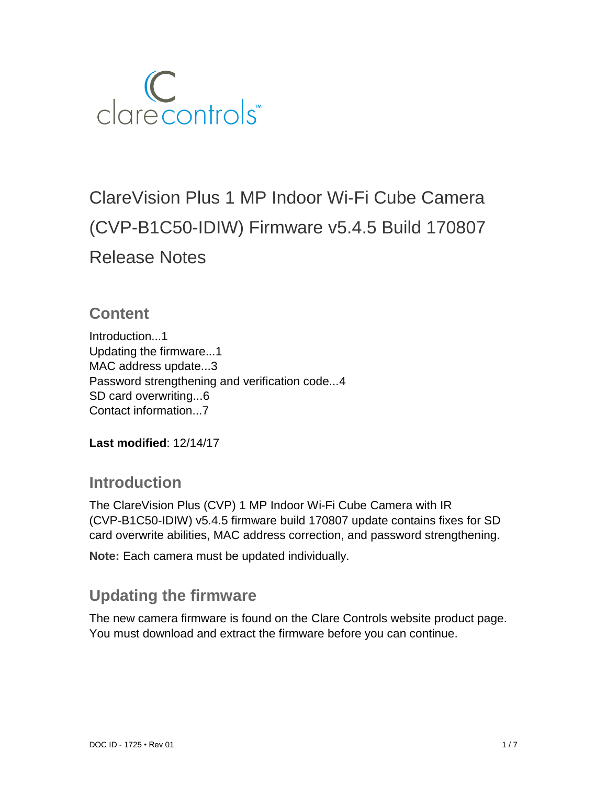

# ClareVision Plus 1 MP Indoor Wi-Fi Cube Camera (CVP-B1C50-IDIW) Firmware v5.4.5 Build 170807 Release Notes

### **Content**

Introduction...1 Updating the firmware...1 MAC address update...3 Password strengthening and verification code...4 SD card overwriting...6 Contact information...7

**Last modified**: 12/14/17

### **Introduction**

The ClareVision Plus (CVP) 1 MP Indoor Wi-Fi Cube Camera with IR (CVP-B1C50-IDIW) v5.4.5 firmware build 170807 update contains fixes for SD card overwrite abilities, MAC address correction, and password strengthening.

**Note:** Each camera must be updated individually.

## **Updating the firmware**

The new camera firmware is found on the Clare Controls website product page. You must download and extract the firmware before you can continue.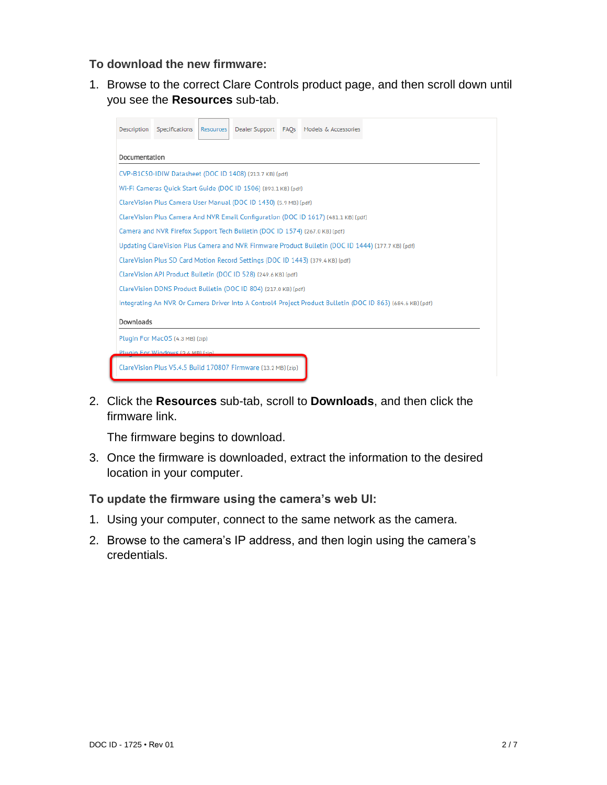#### **To download the new firmware:**

1. Browse to the correct Clare Controls product page, and then scroll down until you see the **Resources** sub-tab.

| Description                                                                                                | Specifications | <b>Resources</b> |                                                               |  | Dealer Support FAOs Models & Accessories |  |  |  |  |
|------------------------------------------------------------------------------------------------------------|----------------|------------------|---------------------------------------------------------------|--|------------------------------------------|--|--|--|--|
| Documentation                                                                                              |                |                  |                                                               |  |                                          |  |  |  |  |
| CVP-B1C50-IDIW Datasheet (DOC ID 1408) (213.7 KB) (pdf)                                                    |                |                  |                                                               |  |                                          |  |  |  |  |
| Wi-Fi Cameras Quick Start Guide (DOC ID 1506) (893.1 KB) (pdf)                                             |                |                  |                                                               |  |                                          |  |  |  |  |
| ClareVision Plus Camera User Manual (DOC ID 1430) (5.9 MB) (pdf)                                           |                |                  |                                                               |  |                                          |  |  |  |  |
| ClareVision Plus Camera And NVR Email Configuration (DOC ID 1617) (481.1 KB) (pdf)                         |                |                  |                                                               |  |                                          |  |  |  |  |
| Camera and NVR Firefox Support Tech Bulletin (DOC ID 1574) (267.0 KB) (pdf)                                |                |                  |                                                               |  |                                          |  |  |  |  |
| Updating ClareVision Plus Camera and NVR Firmware Product Bulletin (DOC ID 1444) (177.7 KB) (pdf)          |                |                  |                                                               |  |                                          |  |  |  |  |
| ClareVision Plus SD Card Motion Record Settings (DOC ID 1443) (379.4 KB) (pdf)                             |                |                  |                                                               |  |                                          |  |  |  |  |
| ClareVision API Product Bulletin (DOC ID 528) (249.6 KB) (pdf)                                             |                |                  |                                                               |  |                                          |  |  |  |  |
| ClareVision DDNS Product Bulletin (DOC ID 804) (217.0 KB) (pdf)                                            |                |                  |                                                               |  |                                          |  |  |  |  |
| Integrating An NVR Or Camera Driver Into A Control4 Project Product Bulletin (DOC ID 863) (684.6 KB) (pdf) |                |                  |                                                               |  |                                          |  |  |  |  |
| Downloads                                                                                                  |                |                  |                                                               |  |                                          |  |  |  |  |
| Plugin For MacOS (4.3 MB) (zip)                                                                            |                |                  |                                                               |  |                                          |  |  |  |  |
| Plugin For Windows (2.6 MB) (zin)                                                                          |                |                  |                                                               |  |                                          |  |  |  |  |
|                                                                                                            |                |                  | ClareVision Plus V5.4.5 Build 170807 Firmware (13.2 MB) (zip) |  |                                          |  |  |  |  |

2. Click the **Resources** sub-tab, scroll to **Downloads**, and then click the firmware link.

The firmware begins to download.

3. Once the firmware is downloaded, extract the information to the desired location in your computer.

#### **To update the firmware using the camera's web UI:**

- 1. Using your computer, connect to the same network as the camera.
- 2. Browse to the camera's IP address, and then login using the camera's credentials.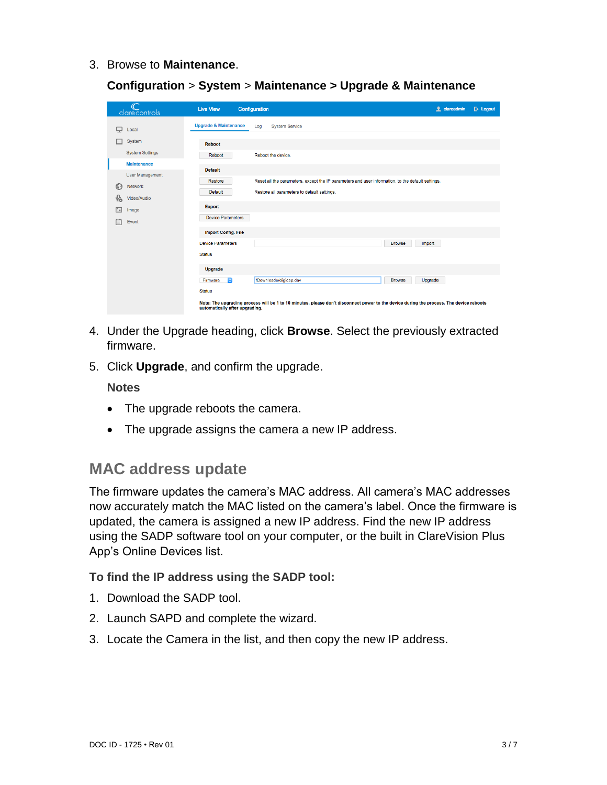3. Browse to **Maintenance**.

**Configuration** > **System** > **Maintenance > Upgrade & Maintenance**

|               | $\mathbb{C}$<br>clarecontrols | <b>Live View</b>                 | Configuration                                                                                                                           | <b>f</b> clareadmin | $E+$ Logout |
|---------------|-------------------------------|----------------------------------|-----------------------------------------------------------------------------------------------------------------------------------------|---------------------|-------------|
| Q             | Local                         | <b>Upgrade &amp; Maintenance</b> | Log<br><b>System Service</b>                                                                                                            |                     |             |
| F             | System                        | <b>Reboot</b>                    |                                                                                                                                         |                     |             |
|               | <b>System Settings</b>        | Reboot                           | Reboot the device.                                                                                                                      |                     |             |
|               | <b>Maintenance</b>            | <b>Default</b>                   |                                                                                                                                         |                     |             |
|               | <b>User Management</b>        | <b>Restore</b>                   | Reset all the parameters, except the IP parameters and user information, to the default settings.                                       |                     |             |
| $\odot$       | Network                       | <b>Default</b>                   | Restore all parameters to default settings.                                                                                             |                     |             |
| $Q_0$         | Video/Audio                   |                                  |                                                                                                                                         |                     |             |
| $^{\circ}$ .4 | Image                         | <b>Export</b>                    |                                                                                                                                         |                     |             |
| 闫             | Event                         | <b>Device Parameters</b>         |                                                                                                                                         |                     |             |
|               |                               | <b>Import Config. File</b>       |                                                                                                                                         |                     |             |
|               |                               | <b>Device Parameters</b>         | Import<br><b>Browse</b>                                                                                                                 |                     |             |
|               |                               | <b>Status</b>                    |                                                                                                                                         |                     |             |
|               |                               | <b>Upgrade</b>                   |                                                                                                                                         |                     |             |
|               |                               | $ \mathbf{C} $<br>Firmware       | <b>Browse</b><br>Upgrade<br>/Downloads/digicap.dav                                                                                      |                     |             |
|               |                               | <b>Status</b>                    |                                                                                                                                         |                     |             |
|               |                               | automatically after upgrading.   | Note: The upgrading process will be 1 to 10 minutes, please don't disconnect power to the device during the process. The device reboots |                     |             |

- 4. Under the Upgrade heading, click **Browse**. Select the previously extracted firmware.
- 5. Click **Upgrade**, and confirm the upgrade.

**Notes**

- The upgrade reboots the camera.
- The upgrade assigns the camera a new IP address.

### **MAC address update**

The firmware updates the camera's MAC address. All camera's MAC addresses now accurately match the MAC listed on the camera's label. Once the firmware is updated, the camera is assigned a new IP address. Find the new IP address using the SADP software tool on your computer, or the built in ClareVision Plus App's Online Devices list.

#### **To find the IP address using the SADP tool:**

- 1. Download the SADP tool.
- 2. Launch SAPD and complete the wizard.
- 3. Locate the Camera in the list, and then copy the new IP address.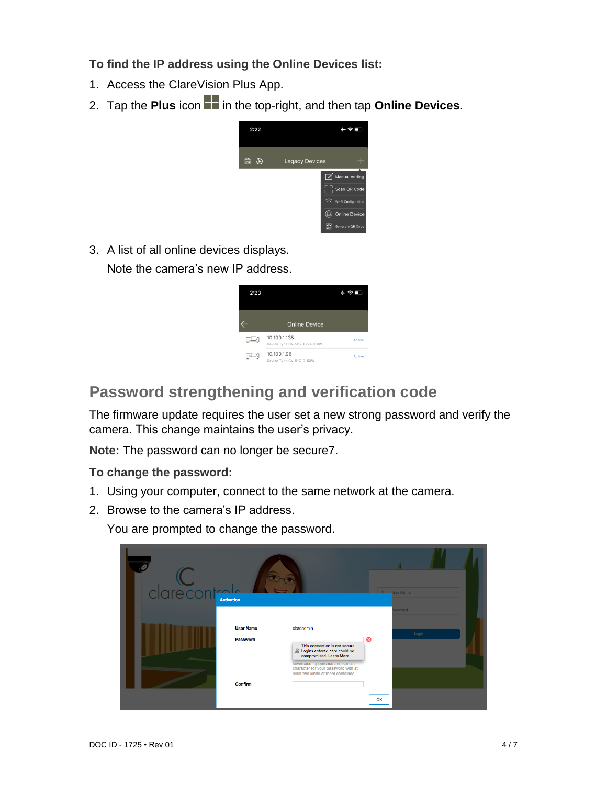**To find the IP address using the Online Devices list:** 

- 1. Access the ClareVision Plus App.
- 2. Tap the **Plus** icon **in** in the top-right, and then tap **Online Devices**.



3. A list of all online devices displays.

Note the camera's new IP address.



# **Password strengthening and verification code**

The firmware update requires the user set a new strong password and verify the camera. This change maintains the user's privacy.

**Note:** The password can no longer be secure7.

**To change the password:**

- 1. Using your computer, connect to the same network at the camera.
- 2. Browse to the camera's IP address.

You are prompted to change the password.

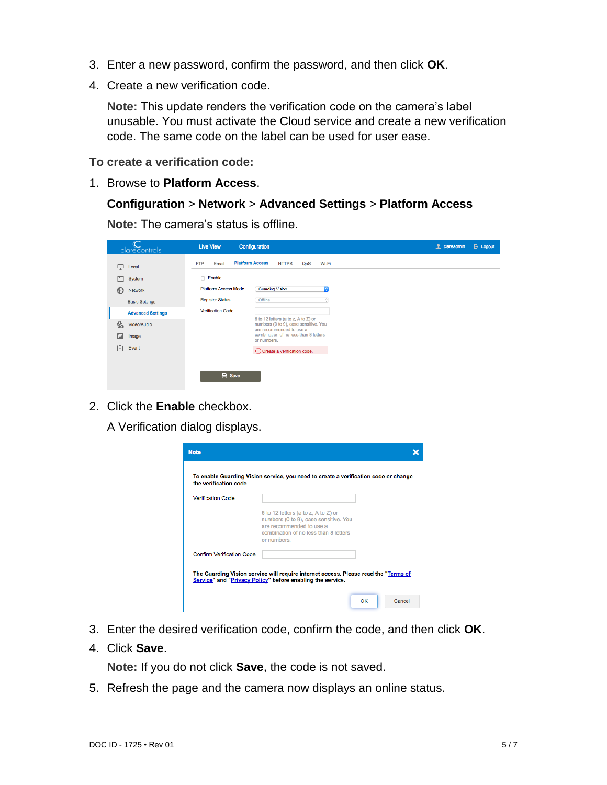- 3. Enter a new password, confirm the password, and then click **OK**.
- 4. Create a new verification code.

**Note:** This update renders the verification code on the camera's label unusable. You must activate the Cloud service and create a new verification code. The same code on the label can be used for user ease.

**To create a verification code:** 

1. Browse to **Platform Access**.

**Configuration** > **Network** > **Advanced Settings** > **Platform Access**

**Note:** The camera's status is offline.

|                                  | clarecontrols            | <b>Live View</b>            | Configuration                                                                                            | $E$ Logout<br><b>ft</b> clareadmin |
|----------------------------------|--------------------------|-----------------------------|----------------------------------------------------------------------------------------------------------|------------------------------------|
| Q                                | Local                    | <b>FTP</b><br>Email         | <b>Platform Access</b><br><b>HTTPS</b><br>Wi-Fi<br>QoS                                                   |                                    |
|                                  | System                   | Enable                      |                                                                                                          |                                    |
| ⊕                                | <b>Network</b>           | <b>Platform Access Mode</b> | <b>Guarding Vision</b><br>C.                                                                             |                                    |
|                                  | <b>Basic Settings</b>    | <b>Register Status</b>      | Offline<br>$\sim$<br>v.                                                                                  |                                    |
|                                  | <b>Advanced Settings</b> | <b>Verification Code</b>    |                                                                                                          |                                    |
| $\mathcal{Q}_{\dot{\mathbf{o}}}$ | Video/Audio              |                             | 6 to 12 letters (a to z, A to Z) or<br>numbers (0 to 9), case sensitive. You<br>are recommended to use a |                                    |
| $\mathbf{L}$                     | Image                    |                             | combination of no less than 8 letters<br>or numbers.                                                     |                                    |
| 償                                | Event                    |                             | (i) Create a verification code.                                                                          |                                    |
|                                  |                          |                             |                                                                                                          |                                    |
|                                  |                          | <b>日</b> Save               |                                                                                                          |                                    |

2. Click the **Enable** checkbox.

A Verification dialog displays.

| the verification code.           | To enable Guarding Vision service, you need to create a verification code or change                                                                              |  |
|----------------------------------|------------------------------------------------------------------------------------------------------------------------------------------------------------------|--|
| <b>Verification Code</b>         |                                                                                                                                                                  |  |
|                                  | 6 to 12 letters (a to z, A to Z) or<br>numbers (0 to 9), case sensitive. You<br>are recommended to use a<br>combination of no less than 8 letters<br>or numbers. |  |
| <b>Confirm Verification Code</b> |                                                                                                                                                                  |  |
|                                  | The Guarding Vision service will require internet access. Please read the "Terms of<br>Service" and "Privacy Policy" before enabling the service.                |  |

- 3. Enter the desired verification code, confirm the code, and then click **OK**.
- 4. Click **Save**.

**Note:** If you do not click **Save**, the code is not saved.

5. Refresh the page and the camera now displays an online status.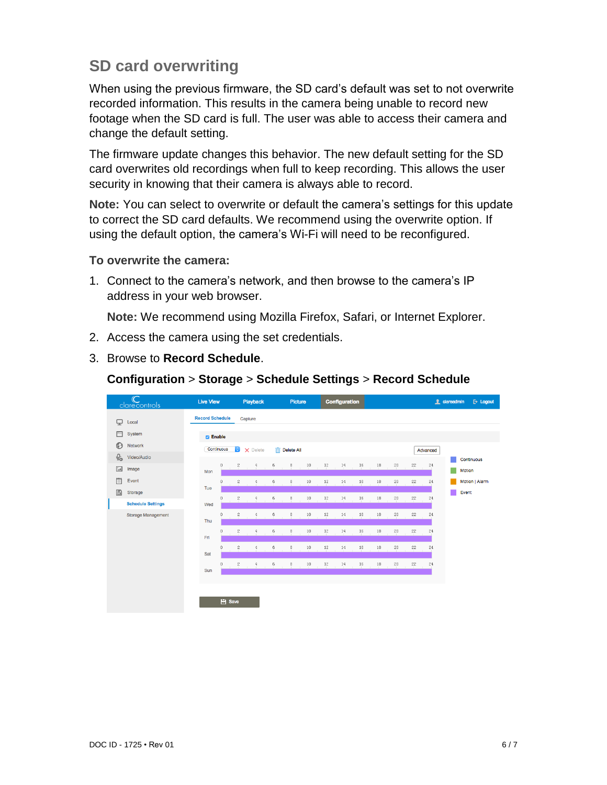# **SD card overwriting**

When using the previous firmware, the SD card's default was set to not overwrite recorded information. This results in the camera being unable to record new footage when the SD card is full. The user was able to access their camera and change the default setting.

The firmware update changes this behavior. The new default setting for the SD card overwrites old recordings when full to keep recording. This allows the user security in knowing that their camera is always able to record.

**Note:** You can select to overwrite or default the camera's settings for this update to correct the SD card defaults. We recommend using the overwrite option. If using the default option, the camera's Wi-Fi will need to be reconfigured.

#### **To overwrite the camera:**

1. Connect to the camera's network, and then browse to the camera's IP address in your web browser.

**Note:** We recommend using Mozilla Firefox, Safari, or Internet Explorer.

- 2. Access the camera using the set credentials.
- 3. Browse to **Record Schedule**.

| $\mathbb{C}$<br>clarecontrols            | <b>Live View</b>       | Playback                           | Picture                                       | <b>Configuration</b>             | <b>f</b> clareadmin<br>$E$ Logout     |
|------------------------------------------|------------------------|------------------------------------|-----------------------------------------------|----------------------------------|---------------------------------------|
| ç<br>Local                               | <b>Record Schedule</b> | Capture                            |                                               |                                  |                                       |
| Ħ<br>System<br>$\odot$<br>Network        | <b>Z</b> Enable        |                                    |                                               |                                  |                                       |
| $Q_0$<br>Video/Audio                     | Continuous             | $ \mathbf{e} $<br>X Delete         | $\overline{\overline{\mathbf{m}}}$ Delete All |                                  | Advanced<br>Continuous                |
| $\mathbb{L}$<br>Image                    | $\theta$<br>Mon        | $\mathbf{2}$<br>6<br>4             | $10$<br>8                                     | $12\,$<br>16<br>18<br>14         | 20<br>22<br>24<br>Motion              |
| 闫<br>Event                               | 0<br>Tue               | $\mathbf{2}$<br>6<br>4             | 10<br>8                                       | 12<br>16<br>18<br>14             | Motion   Alarm<br>$^{22}$<br>24<br>20 |
| B<br>Storage<br><b>Schedule Settings</b> | 0<br>Wed               | $\mathbf{2}$<br>6<br>4             | $10\,$<br>8                                   | $12\,$<br>$16\,$<br>14<br>$18\,$ | Event<br>20<br>$^{22}$<br>24          |
| Storage Management                       | n<br>Thu               | $\mathbf{2}$<br>6<br>4             | $10\,$<br>8                                   | $^{12}$<br>16<br>$18\,$<br>14    | 20<br>$^{22}$<br>24                   |
|                                          | Fri.                   | $\overline{\mathbf{c}}$<br>6       | $10\,$<br>8                                   | $12\,$<br>$16\,$<br>14<br>18     | 20<br>$^{22}$<br>24                   |
|                                          | $\Box$                 | $\sqrt{2}$<br>6<br>4               | $10\,$<br>$_{\rm 8}$                          | $12\,$<br>$16\,$<br>14<br>$18\,$ | 20<br>22<br>24                        |
|                                          | Sat<br>0               | $\mathbf{2}$<br>6<br>$\frac{4}{3}$ | $\,$ 8<br>10                                  | 12<br>16<br>18<br>14             | 20<br>22<br>24                        |
|                                          | Sun                    |                                    |                                               |                                  |                                       |
|                                          |                        |                                    |                                               |                                  |                                       |
|                                          | <b>E</b> Save          |                                    |                                               |                                  |                                       |

#### **Configuration** > **Storage** > **Schedule Settings** > **Record Schedule**